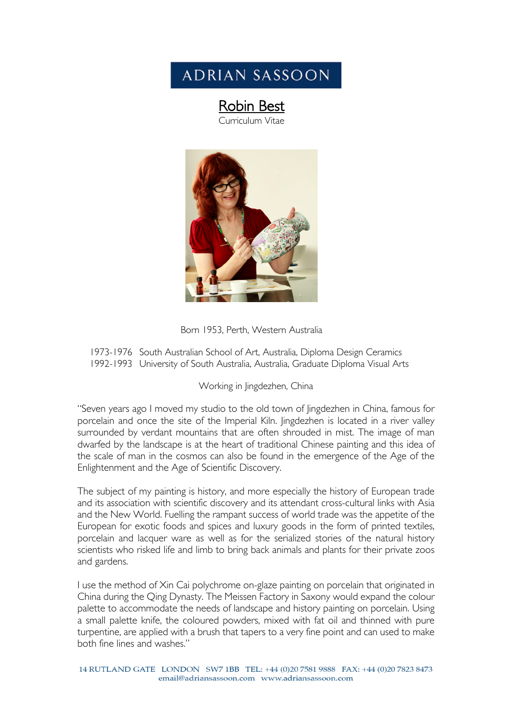# **ADRIAN SASSOON**

# **Robin Best**<br>Curriculum Vitae



Born 1953, Perth, Western Australia

1973-1976 South Australian School of Art, Australia, Diploma Design Ceramics 1992-1993 University of South Australia, Australia, Graduate Diploma Visual Arts

#### Working in Jingdezhen, China

"Seven years ago I moved my studio to the old town of Jingdezhen in China, famous for porcelain and once the site of the Imperial Kiln. Jingdezhen is located in a river valley surrounded by verdant mountains that are often shrouded in mist. The image of man dwarfed by the landscape is at the heart of traditional Chinese painting and this idea of the scale of man in the cosmos can also be found in the emergence of the Age of the Enlightenment and the Age of Scientific Discovery.

The subject of my painting is history, and more especially the history of European trade and its association with scientific discovery and its attendant cross-cultural links with Asia and the New World. Fuelling the rampant success of world trade was the appetite of the European for exotic foods and spices and luxury goods in the form of printed textiles, porcelain and lacquer ware as well as for the serialized stories of the natural history scientists who risked life and limb to bring back animals and plants for their private zoos and gardens.

I use the method of Xin Cai polychrome on-glaze painting on porcelain that originated in China during the Qing Dynasty. The Meissen Factory in Saxony would expand the colour palette to accommodate the needs of landscape and history painting on porcelain. Using a small palette knife, the coloured powders, mixed with fat oil and thinned with pure turpentine, are applied with a brush that tapers to a very fine point and can used to make both fine lines and washes."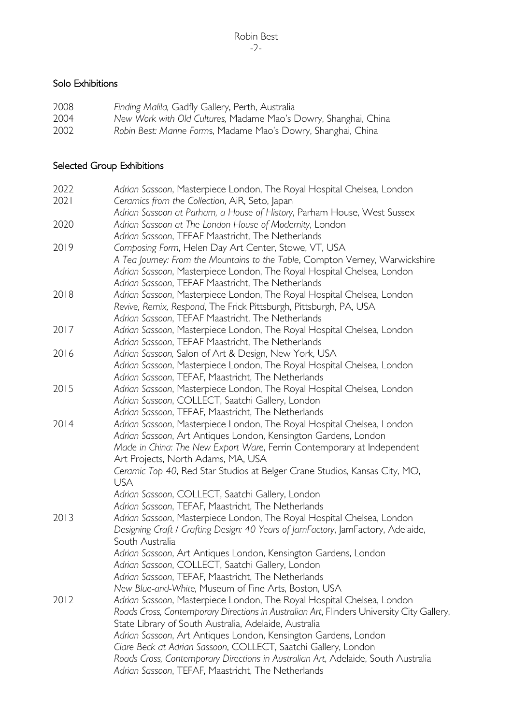### Solo Exhibitions

| 2008 | Finding Malila, Gadfly Gallery, Perth, Australia                |
|------|-----------------------------------------------------------------|
| 2004 | New Work with Old Cultures, Madame Mao's Dowry, Shanghai, China |
| 2002 | Robin Best: Marine Forms, Madame Mao's Dowry, Shanghai, China   |

# Selected Group Exhibitions

| 2022 | Adrian Sassoon, Masterpiece London, The Royal Hospital Chelsea, London                    |
|------|-------------------------------------------------------------------------------------------|
| 2021 | Ceramics from the Collection, AiR, Seto, Japan                                            |
|      | Adrian Sassoon at Parham, a House of History, Parham House, West Sussex                   |
| 2020 | Adrian Sassoon at The London House of Modernity, London                                   |
|      | Adrian Sassoon, TEFAF Maastricht, The Netherlands                                         |
| 2019 | Composing Form, Helen Day Art Center, Stowe, VT, USA                                      |
|      | A Tea Journey: From the Mountains to the Table, Compton Verney, Warwickshire              |
|      | Adrian Sassoon, Masterpiece London, The Royal Hospital Chelsea, London                    |
|      | Adrian Sassoon, TEFAF Maastricht, The Netherlands                                         |
| 2018 | Adrian Sassoon, Masterpiece London, The Royal Hospital Chelsea, London                    |
|      | Revive, Remix, Respond, The Frick Pittsburgh, Pittsburgh, PA, USA                         |
|      | Adrian Sassoon, TEFAF Maastricht, The Netherlands                                         |
| 2017 | Adrian Sassoon, Masterpiece London, The Royal Hospital Chelsea, London                    |
|      | Adrian Sassoon, TEFAF Maastricht, The Netherlands                                         |
| 2016 | Adrian Sassoon, Salon of Art & Design, New York, USA                                      |
|      | Adrian Sassoon, Masterpiece London, The Royal Hospital Chelsea, London                    |
|      | Adrian Sassoon, TEFAF, Maastricht, The Netherlands                                        |
| 2015 | Adrian Sassoon, Masterpiece London, The Royal Hospital Chelsea, London                    |
|      | Adrian Sassoon, COLLECT, Saatchi Gallery, London                                          |
|      | Adrian Sassoon, TEFAF, Maastricht, The Netherlands                                        |
| 2014 | Adrian Sassoon, Masterpiece London, The Royal Hospital Chelsea, London                    |
|      | Adrian Sassoon, Art Antiques London, Kensington Gardens, London                           |
|      | Made in China: The New Export Ware, Ferrin Contemporary at Independent                    |
|      | Art Projects, North Adams, MA, USA                                                        |
|      | Ceramic Top 40, Red Star Studios at Belger Crane Studios, Kansas City, MO,                |
|      | <b>USA</b>                                                                                |
|      | Adrian Sassoon, COLLECT, Saatchi Gallery, London                                          |
|      | Adrian Sassoon, TEFAF, Maastricht, The Netherlands                                        |
| 2013 | Adrian Sassoon, Masterpiece London, The Royal Hospital Chelsea, London                    |
|      | Designing Craft / Crafting Design: 40 Years of JamFactory, JamFactory, Adelaide,          |
|      | South Australia                                                                           |
|      | Adrian Sassoon, Art Antiques London, Kensington Gardens, London                           |
|      | Adrian Sassoon, COLLECT, Saatchi Gallery, London                                          |
|      | Adrian Sassoon, TEFAF, Maastricht, The Netherlands                                        |
|      | New Blue-and-White, Museum of Fine Arts, Boston, USA                                      |
| 2012 | Adrian Sassoon, Masterpiece London, The Royal Hospital Chelsea, London                    |
|      | Roads Cross, Contemporary Directions in Australian Art, Flinders University City Gallery, |
|      | State Library of South Australia, Adelaide, Australia                                     |
|      | Adrian Sassoon, Art Antiques London, Kensington Gardens, London                           |
|      | Clare Beck at Adrian Sassoon, COLLECT, Saatchi Gallery, London                            |
|      | Roads Cross, Contemporary Directions in Australian Art, Adelaide, South Australia         |
|      | Adrian Sassoon, TEFAF, Maastricht, The Netherlands                                        |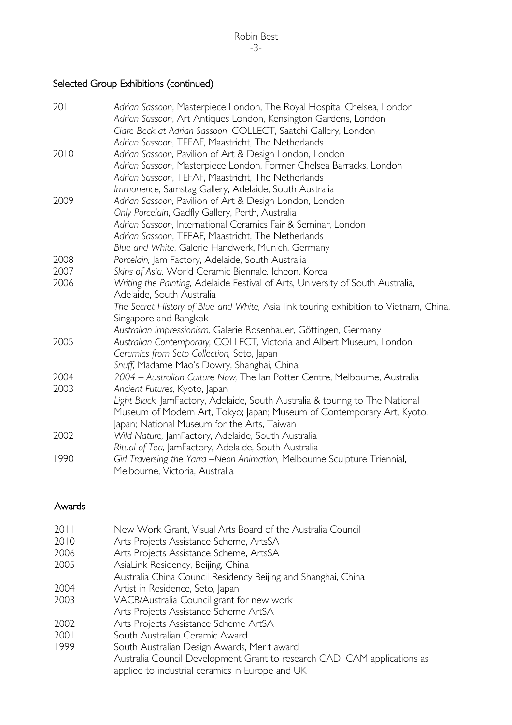# Selected Group Exhibitions (continued)

| 2011 | Adrian Sassoon, Masterpiece London, The Royal Hospital Chelsea, London                |
|------|---------------------------------------------------------------------------------------|
|      | Adrian Sassoon, Art Antiques London, Kensington Gardens, London                       |
|      | Clare Beck at Adrian Sassoon, COLLECT, Saatchi Gallery, London                        |
|      | Adrian Sassoon, TEFAF, Maastricht, The Netherlands                                    |
| 2010 | Adrian Sassoon, Pavilion of Art & Design London, London                               |
|      | Adrian Sassoon, Masterpiece London, Former Chelsea Barracks, London                   |
|      | Adrian Sassoon, TEFAF, Maastricht, The Netherlands                                    |
|      | Immanence, Samstag Gallery, Adelaide, South Australia                                 |
| 2009 | Adrian Sassoon, Pavilion of Art & Design London, London                               |
|      | Only Porcelain, Gadfly Gallery, Perth, Australia                                      |
|      | Adrian Sassoon, International Ceramics Fair & Seminar, London                         |
|      | Adrian Sassoon, TEFAF, Maastricht, The Netherlands                                    |
|      | Blue and White, Galerie Handwerk, Munich, Germany                                     |
| 2008 | Porcelain, Jam Factory, Adelaide, South Australia                                     |
| 2007 | Skins of Asia, World Ceramic Biennale, Icheon, Korea                                  |
| 2006 | Writing the Painting, Adelaide Festival of Arts, University of South Australia,       |
|      | Adelaide, South Australia                                                             |
|      | The Secret History of Blue and White, Asia link touring exhibition to Vietnam, China, |
|      | Singapore and Bangkok                                                                 |
|      | Australian Impressionism, Galerie Rosenhauer, Göttingen, Germany                      |
| 2005 | Australian Contemporary, COLLECT, Victoria and Albert Museum, London                  |
|      | Ceramics from Seto Collection, Seto, Japan                                            |
|      | Snuff, Madame Mao's Dowry, Shanghai, China                                            |
| 2004 | 2004 - Australian Culture Now, The Ian Potter Centre, Melbourne, Australia            |
| 2003 | Ancient Futures, Kyoto, Japan                                                         |
|      | Light Black, JamFactory, Adelaide, South Australia & touring to The National          |
|      | Museum of Modern Art, Tokyo; Japan; Museum of Contemporary Art, Kyoto,                |
|      | Japan; National Museum for the Arts, Taiwan                                           |
| 2002 | Wild Nature, JamFactory, Adelaide, South Australia                                    |
|      | Ritual of Tea, JamFactory, Adelaide, South Australia                                  |
| 1990 | Girl Traversing the Yarra -Neon Animation, Melbourne Sculpture Triennial,             |
|      | Melbourne, Victoria, Australia                                                        |

#### Awards

| 2011 | New Work Grant, Visual Arts Board of the Australia Council              |
|------|-------------------------------------------------------------------------|
| 2010 | Arts Projects Assistance Scheme, ArtsSA                                 |
| 2006 | Arts Projects Assistance Scheme, ArtsSA                                 |
| 2005 | AsiaLink Residency, Beijing, China                                      |
|      | Australia China Council Residency Beijing and Shanghai, China           |
| 2004 | Artist in Residence, Seto, Japan                                        |
| 2003 | VACB/Australia Council grant for new work                               |
|      | Arts Projects Assistance Scheme ArtSA                                   |
| 2002 | Arts Projects Assistance Scheme ArtSA                                   |
| 2001 | South Australian Ceramic Award                                          |
| 1999 | South Australian Design Awards, Merit award                             |
|      | Australia Council Development Grant to research CAD–CAM applications as |
|      | applied to industrial ceramics in Europe and UK                         |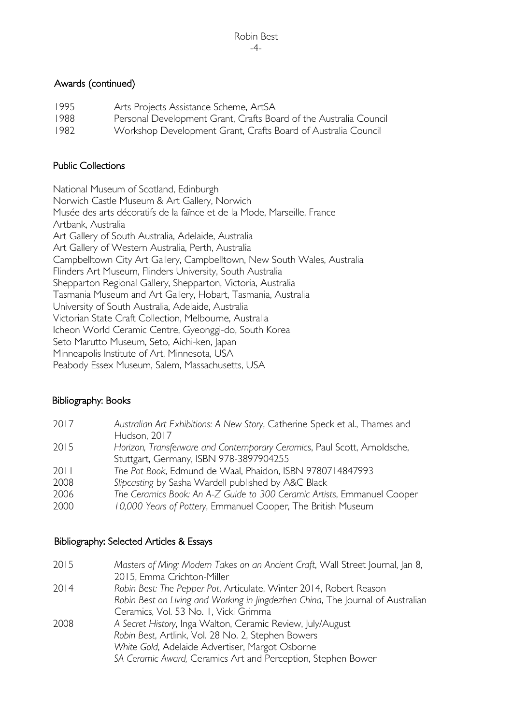#### Awards (continued)

1995 Arts Projects Assistance Scheme, ArtSA 1988 Personal Development Grant, Crafts Board of the Australia Council 1982 Workshop Development Grant, Crafts Board of Australia Council

#### Public Collections

National Museum of Scotland, Edinburgh Norwich Castle Museum & Art Gallery, Norwich Musée des arts décoratifs de la faïnce et de la Mode, Marseille, France Artbank, Australia Art Gallery of South Australia, Adelaide, Australia Art Gallery of Western Australia, Perth, Australia Campbelltown City Art Gallery, Campbelltown, New South Wales, Australia Flinders Art Museum, Flinders University, South Australia Shepparton Regional Gallery, Shepparton, Victoria, Australia Tasmania Museum and Art Gallery, Hobart, Tasmania, Australia University of South Australia, Adelaide, Australia Victorian State Craft Collection, Melbourne, Australia Icheon World Ceramic Centre, Gyeonggi-do, South Korea Seto Marutto Museum, Seto, Aichi-ken, Japan Minneapolis Institute of Art, Minnesota, USA Peabody Essex Museum, Salem, Massachusetts, USA

#### Bibliography: Books

| 2017 | Australian Art Exhibitions: A New Story, Catherine Speck et al., Thames and |
|------|-----------------------------------------------------------------------------|
|      | Hudson, 2017                                                                |
| 2015 | Horizon, Transferware and Contemporary Ceramics, Paul Scott, Arnoldsche,    |
|      | Stuttgart, Germany, ISBN 978-3897904255                                     |
| 2011 | The Pot Book, Edmund de Waal, Phaidon, ISBN 9780714847993                   |
| 2008 | Slipcasting by Sasha Wardell published by A&C Black                         |
| 2006 | The Ceramics Book: An A-Z Guide to 300 Ceramic Artists, Emmanuel Cooper     |
| 2000 | 10,000 Years of Pottery, Emmanuel Cooper, The British Museum                |

#### Bibliography: Selected Articles & Essays

| 2015 | Masters of Ming: Modern Takes on an Ancient Craft, Wall Street Journal, Jan 8,  |
|------|---------------------------------------------------------------------------------|
|      | 2015, Emma Crichton-Miller                                                      |
| 2014 | Robin Best: The Pepper Pot, Articulate, Winter 2014, Robert Reason              |
|      | Robin Best on Living and Working in Jingdezhen China, The Journal of Australian |
|      | Ceramics, Vol. 53 No. 1, Vicki Grimma                                           |
| 2008 | A Secret History, Inga Walton, Ceramic Review, July/August                      |
|      | Robin Best, Artlink, Vol. 28 No. 2, Stephen Bowers                              |
|      | White Gold, Adelaide Advertiser, Margot Osborne                                 |
|      | SA Ceramic Award, Ceramics Art and Perception, Stephen Bower                    |